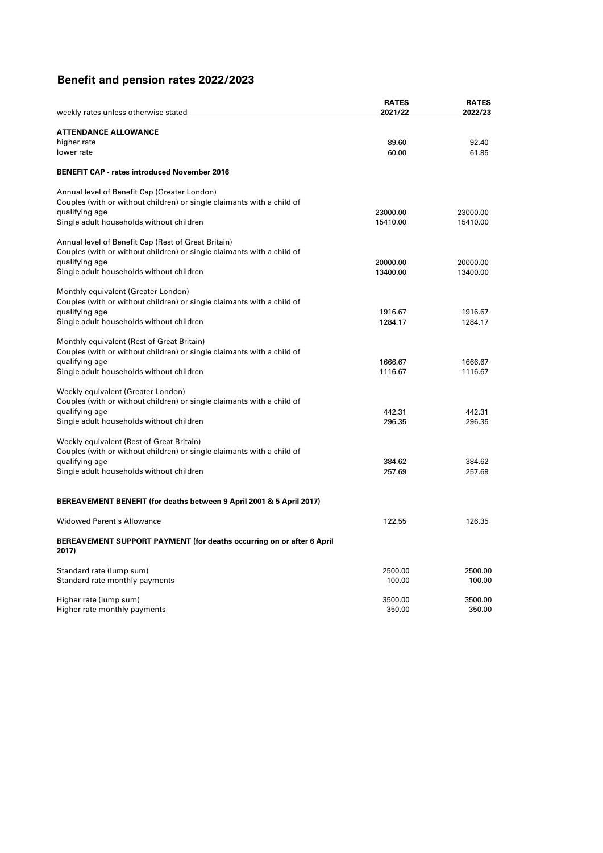# **Benefit and pension rates 2022/2023**

|                                                                                                               | <b>RATES</b>     | <b>RATES</b> |
|---------------------------------------------------------------------------------------------------------------|------------------|--------------|
| weekly rates unless otherwise stated                                                                          | 2021/22          | 2022/23      |
| <b>ATTENDANCE ALLOWANCE</b>                                                                                   |                  |              |
| higher rate                                                                                                   | 89.60            | 92.40        |
| lower rate                                                                                                    | 60.00            | 61.85        |
| <b>BENEFIT CAP - rates introduced November 2016</b>                                                           |                  |              |
| Annual level of Benefit Cap (Greater London)                                                                  |                  |              |
| Couples (with or without children) or single claimants with a child of                                        |                  |              |
| qualifying age                                                                                                | 23000.00         | 23000.00     |
| Single adult households without children                                                                      | 15410.00         | 15410.00     |
| Annual level of Benefit Cap (Rest of Great Britain)                                                           |                  |              |
| Couples (with or without children) or single claimants with a child of                                        |                  |              |
| qualifying age                                                                                                | 20000.00         | 20000.00     |
| Single adult households without children                                                                      | 13400.00         | 13400.00     |
|                                                                                                               |                  |              |
| Monthly equivalent (Greater London)<br>Couples (with or without children) or single claimants with a child of |                  |              |
| qualifying age                                                                                                | 1916.67          | 1916.67      |
| Single adult households without children                                                                      | 1284.17          | 1284.17      |
|                                                                                                               |                  |              |
| Monthly equivalent (Rest of Great Britain)                                                                    |                  |              |
| Couples (with or without children) or single claimants with a child of<br>qualifying age                      | 1666.67          | 1666.67      |
| Single adult households without children                                                                      | 1116.67          | 1116.67      |
|                                                                                                               |                  |              |
| Weekly equivalent (Greater London)                                                                            |                  |              |
| Couples (with or without children) or single claimants with a child of                                        |                  | 442.31       |
| qualifying age<br>Single adult households without children                                                    | 442.31<br>296.35 | 296.35       |
|                                                                                                               |                  |              |
| Weekly equivalent (Rest of Great Britain)                                                                     |                  |              |
| Couples (with or without children) or single claimants with a child of                                        |                  |              |
| qualifying age                                                                                                | 384.62           | 384.62       |
| Single adult households without children                                                                      | 257.69           | 257.69       |
| BEREAVEMENT BENEFIT (for deaths between 9 April 2001 & 5 April 2017)                                          |                  |              |
| <b>Widowed Parent's Allowance</b>                                                                             |                  |              |
|                                                                                                               | 122.55           | 126.35       |
| BEREAVEMENT SUPPORT PAYMENT (for deaths occurring on or after 6 April<br>2017)                                |                  |              |
| Standard rate (lump sum)                                                                                      | 2500.00          | 2500.00      |
| Standard rate monthly payments                                                                                | 100.00           | 100.00       |
| Higher rate (lump sum)                                                                                        | 3500.00          | 3500.00      |
| Higher rate monthly payments                                                                                  | 350.00           | 350.00       |
|                                                                                                               |                  |              |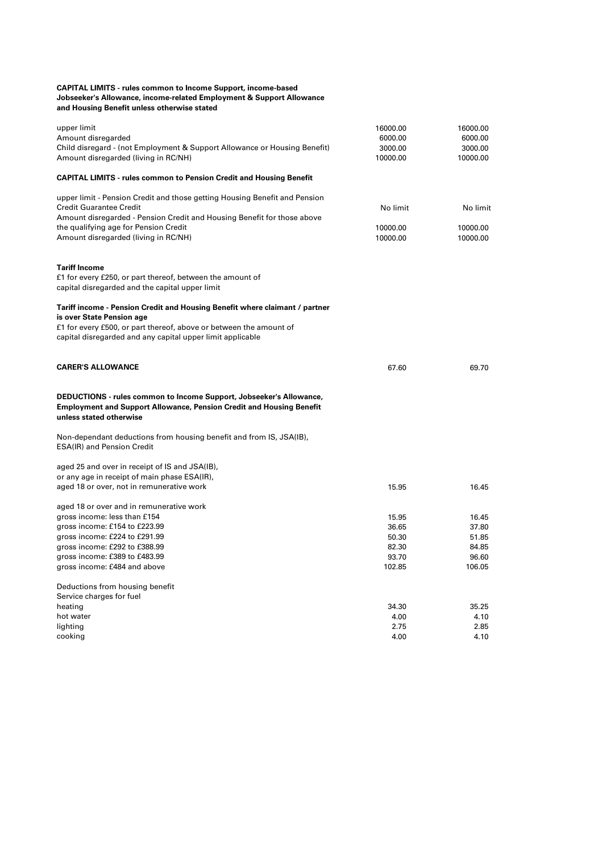#### **CAPITAL LIMITS - rules common to Income Support, income-based Jobseeker's Allowance, income-related Employment & Support Allowance and Housing Benefit unless otherwise stated**

| upper limit<br>Amount disregarded<br>Child disregard - (not Employment & Support Allowance or Housing Benefit)<br>Amount disregarded (living in RC/NH)                                                                                                                   | 16000.00<br>6000.00<br>3000.00<br>10000.00 | 16000.00<br>6000.00<br>3000.00<br>10000.00 |
|--------------------------------------------------------------------------------------------------------------------------------------------------------------------------------------------------------------------------------------------------------------------------|--------------------------------------------|--------------------------------------------|
| <b>CAPITAL LIMITS - rules common to Pension Credit and Housing Benefit</b>                                                                                                                                                                                               |                                            |                                            |
| upper limit - Pension Credit and those getting Housing Benefit and Pension<br><b>Credit Guarantee Credit</b><br>Amount disregarded - Pension Credit and Housing Benefit for those above<br>the qualifying age for Pension Credit<br>Amount disregarded (living in RC/NH) | No limit<br>10000.00<br>10000.00           | No limit<br>10000.00<br>10000.00           |
| <b>Tariff Income</b><br>£1 for every £250, or part thereof, between the amount of<br>capital disregarded and the capital upper limit                                                                                                                                     |                                            |                                            |
| Tariff income - Pension Credit and Housing Benefit where claimant / partner<br>is over State Pension age<br>£1 for every £500, or part thereof, above or between the amount of<br>capital disregarded and any capital upper limit applicable                             |                                            |                                            |
| <b>CARER'S ALLOWANCE</b>                                                                                                                                                                                                                                                 | 67.60                                      | 69.70                                      |
| DEDUCTIONS - rules common to Income Support, Jobseeker's Allowance,<br><b>Employment and Support Allowance, Pension Credit and Housing Benefit</b><br>unless stated otherwise                                                                                            |                                            |                                            |
| Non-dependant deductions from housing benefit and from IS, JSA(IB),<br>ESA(IR) and Pension Credit                                                                                                                                                                        |                                            |                                            |
| aged 25 and over in receipt of IS and JSA(IB),<br>or any age in receipt of main phase ESA(IR),                                                                                                                                                                           |                                            |                                            |
| aged 18 or over, not in remunerative work                                                                                                                                                                                                                                | 15.95                                      | 16.45                                      |
| aged 18 or over and in remunerative work<br>gross income: less than £154                                                                                                                                                                                                 | 15.95                                      | 16.45                                      |
| gross income: £154 to £223.99                                                                                                                                                                                                                                            | 36.65                                      | 37.80                                      |
| gross income: £224 to £291.99                                                                                                                                                                                                                                            | 50.30                                      | 51.85                                      |
| gross income: £292 to £388.99                                                                                                                                                                                                                                            | 82.30                                      | 84.85                                      |
| gross income: £389 to £483.99                                                                                                                                                                                                                                            | 93.70                                      | 96.60                                      |
| gross income: £484 and above                                                                                                                                                                                                                                             | 102.85                                     | 106.05                                     |
| Deductions from housing benefit                                                                                                                                                                                                                                          |                                            |                                            |
| Service charges for fuel                                                                                                                                                                                                                                                 |                                            |                                            |
| heating                                                                                                                                                                                                                                                                  | 34.30                                      | 35.25                                      |
| hot water                                                                                                                                                                                                                                                                | 4.00                                       | 4.10                                       |
| lighting                                                                                                                                                                                                                                                                 | 2.75                                       | 2.85                                       |
| cooking                                                                                                                                                                                                                                                                  | 4.00                                       | 4.10                                       |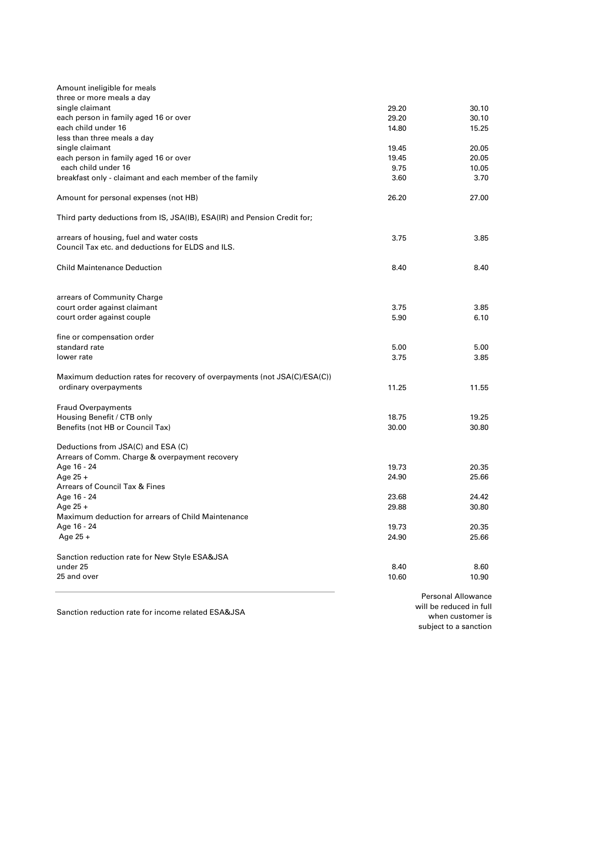| Age 16 - 24                                                              | 19.73 | 20.35 |
|--------------------------------------------------------------------------|-------|-------|
| Maximum deduction for arrears of Child Maintenance                       |       |       |
| Age $25 +$                                                               | 29.88 | 30.80 |
| Age 16 - 24                                                              | 23.68 | 24.42 |
| <b>Arrears of Council Tax &amp; Fines</b>                                |       |       |
| Age $25 +$                                                               | 24.90 | 25.66 |
| Age 16 - 24                                                              | 19.73 | 20.35 |
| Arrears of Comm. Charge & overpayment recovery                           |       |       |
| Deductions from JSA(C) and ESA (C)                                       |       |       |
|                                                                          |       |       |
| Benefits (not HB or Council Tax)                                         | 30.00 | 30.80 |
| Housing Benefit / CTB only                                               | 18.75 | 19.25 |
| <b>Fraud Overpayments</b>                                                |       |       |
|                                                                          |       |       |
| ordinary overpayments                                                    | 11.25 | 11.55 |
| Maximum deduction rates for recovery of overpayments (not JSA(C)/ESA(C)) |       |       |
|                                                                          |       |       |
| lower rate                                                               | 3.75  | 3.85  |
| standard rate                                                            | 5.00  | 5.00  |
| fine or compensation order                                               |       |       |
|                                                                          |       |       |
| court order against couple                                               | 5.90  | 6.10  |
| court order against claimant                                             | 3.75  | 3.85  |
| arrears of Community Charge                                              |       |       |
|                                                                          |       |       |
|                                                                          |       |       |
| <b>Child Maintenance Deduction</b>                                       | 8.40  | 8.40  |
|                                                                          |       |       |
| Council Tax etc. and deductions for ELDS and ILS.                        |       |       |
| arrears of housing, fuel and water costs                                 | 3.75  | 3.85  |
| Third party deductions from IS, JSA(IB), ESA(IR) and Pension Credit for; |       |       |
|                                                                          |       |       |
| Amount for personal expenses (not HB)                                    | 26.20 | 27.00 |
|                                                                          |       |       |
| breakfast only - claimant and each member of the family                  | 3.60  | 3.70  |
| each child under 16                                                      | 9.75  | 10.05 |
| each person in family aged 16 or over                                    | 19.45 | 20.05 |
| single claimant                                                          | 19.45 | 20.05 |
| less than three meals a day                                              |       |       |
| each child under 16                                                      | 14.80 | 15.25 |
| each person in family aged 16 or over                                    | 29.20 | 30.10 |
| single claimant                                                          | 29.20 | 30.10 |
| three or more meals a day                                                |       |       |
| Amount ineligible for meals                                              |       |       |
|                                                                          |       |       |

Sanction reduction rate for income related ESA&JSA

will be reduced in full when customer is subject to a sanction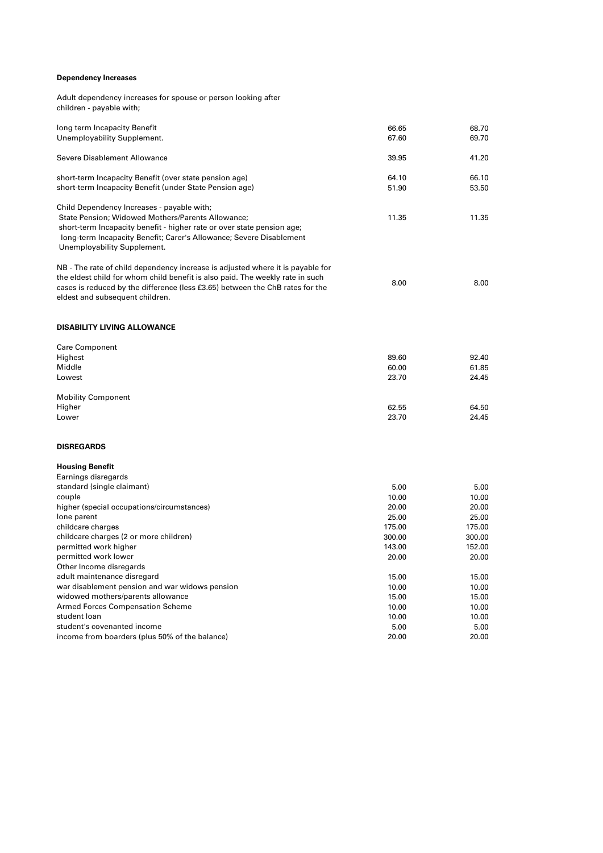## **Dependency Increases**

Adult dependency increases for spouse or person looking after children - payable with;

| long term Incapacity Benefit                                                   | 66.65  | 68.70<br>69.70 |
|--------------------------------------------------------------------------------|--------|----------------|
| Unemployability Supplement.                                                    | 67.60  |                |
| Severe Disablement Allowance                                                   | 39.95  | 41.20          |
| short-term Incapacity Benefit (over state pension age)                         | 64.10  | 66.10          |
| short-term Incapacity Benefit (under State Pension age)                        | 51.90  | 53.50          |
| Child Dependency Increases - payable with;                                     |        |                |
| State Pension; Widowed Mothers/Parents Allowance;                              | 11.35  | 11.35          |
| short-term Incapacity benefit - higher rate or over state pension age;         |        |                |
| long-term Incapacity Benefit; Carer's Allowance; Severe Disablement            |        |                |
| Unemployability Supplement.                                                    |        |                |
| NB - The rate of child dependency increase is adjusted where it is payable for |        |                |
| the eldest child for whom child benefit is also paid. The weekly rate in such  |        |                |
| cases is reduced by the difference (less £3.65) between the ChB rates for the  | 8.00   | 8.00           |
| eldest and subsequent children.                                                |        |                |
| <b>DISABILITY LIVING ALLOWANCE</b>                                             |        |                |
|                                                                                |        |                |
| <b>Care Component</b>                                                          |        |                |
| Highest                                                                        | 89.60  | 92.40          |
| Middle                                                                         | 60.00  | 61.85          |
| Lowest                                                                         | 23.70  | 24.45          |
| <b>Mobility Component</b>                                                      |        |                |
| Higher                                                                         | 62.55  | 64.50          |
| Lower                                                                          | 23.70  | 24.45          |
| <b>DISREGARDS</b>                                                              |        |                |
| <b>Housing Benefit</b>                                                         |        |                |
| Earnings disregards                                                            |        |                |
| standard (single claimant)                                                     | 5.00   | 5.00           |
| couple                                                                         | 10.00  | 10.00          |
| higher (special occupations/circumstances)                                     | 20.00  | 20.00          |
| lone parent                                                                    | 25.00  | 25.00          |
| childcare charges                                                              | 175.00 | 175.00         |
| childcare charges (2 or more children)                                         | 300.00 | 300.00         |
| permitted work higher                                                          | 143.00 | 152.00         |
| permitted work lower                                                           | 20.00  | 20.00          |
| Other Income disregards                                                        |        |                |
| adult maintenance disregard                                                    | 15.00  | 15.00          |
| war disablement pension and war widows pension                                 | 10.00  | 10.00          |
| widowed mothers/parents allowance                                              | 15.00  | 15.00          |
| Armed Forces Compensation Scheme                                               | 10.00  | 10.00          |
| student loan                                                                   | 10.00  | 10.00          |
| student's covenanted income                                                    | 5.00   | 5.00           |
| income from boarders (plus 50% of the balance)                                 | 20.00  | 20.00          |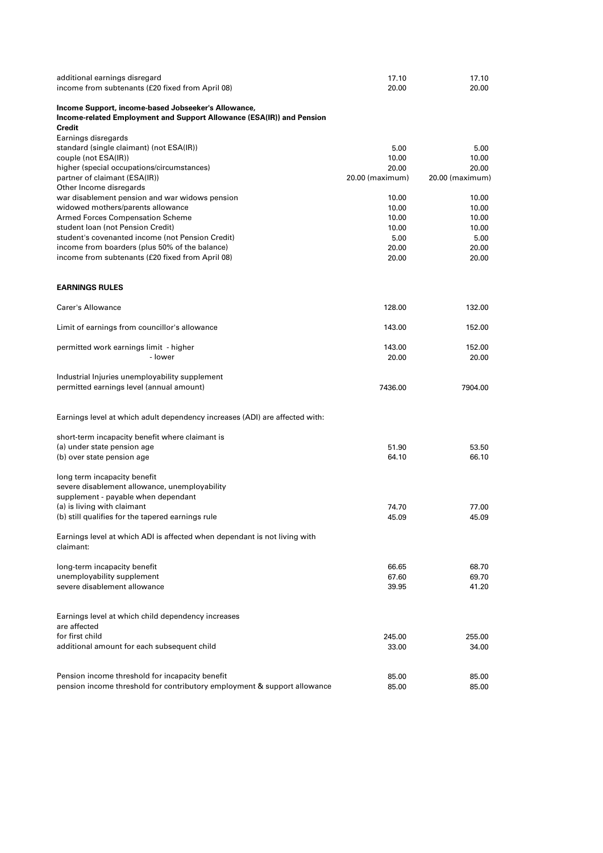| additional earnings disregard                                                          | 17.10           | 17.10           |
|----------------------------------------------------------------------------------------|-----------------|-----------------|
| income from subtenants (£20 fixed from April 08)                                       | 20.00           | 20.00           |
| Income Support, income-based Jobseeker's Allowance,                                    |                 |                 |
| Income-related Employment and Support Allowance (ESA(IR)) and Pension                  |                 |                 |
| Credit                                                                                 |                 |                 |
| Earnings disregards                                                                    |                 |                 |
| standard (single claimant) (not ESA(IR))                                               | 5.00            | 5.00            |
| couple (not ESA(IR))                                                                   | 10.00           | 10.00           |
| higher (special occupations/circumstances)                                             | 20.00           | 20.00           |
| partner of claimant (ESA(IR))                                                          | 20.00 (maximum) | 20.00 (maximum) |
| Other Income disregards                                                                |                 |                 |
| war disablement pension and war widows pension                                         | 10.00           | 10.00           |
| widowed mothers/parents allowance                                                      | 10.00           | 10.00           |
| <b>Armed Forces Compensation Scheme</b>                                                | 10.00           | 10.00           |
| student Ioan (not Pension Credit)                                                      | 10.00           | 10.00           |
| student's covenanted income (not Pension Credit)                                       | 5.00            | 5.00            |
| income from boarders (plus 50% of the balance)                                         | 20.00           | 20.00           |
| income from subtenants (£20 fixed from April 08)                                       | 20.00           | 20.00           |
|                                                                                        |                 |                 |
| <b>EARNINGS RULES</b>                                                                  |                 |                 |
| Carer's Allowance                                                                      | 128.00          | 132.00          |
|                                                                                        |                 |                 |
| Limit of earnings from councillor's allowance                                          | 143.00          | 152.00          |
| permitted work earnings limit - higher                                                 | 143.00          | 152.00          |
| - lower                                                                                | 20.00           | 20.00           |
| Industrial Injuries unemployability supplement                                         |                 |                 |
| permitted earnings level (annual amount)                                               | 7436.00         | 7904.00         |
|                                                                                        |                 |                 |
| Earnings level at which adult dependency increases (ADI) are affected with:            |                 |                 |
| short-term incapacity benefit where claimant is                                        |                 |                 |
| (a) under state pension age                                                            | 51.90           | 53.50           |
| (b) over state pension age                                                             | 64.10           | 66.10           |
| long term incapacity benefit                                                           |                 |                 |
| severe disablement allowance, unemployability                                          |                 |                 |
| supplement - payable when dependant                                                    |                 |                 |
| (a) is living with claimant                                                            | 74.70           | 77.00           |
| (b) still qualifies for the tapered earnings rule                                      | 45.09           | 45.09           |
| Earnings level at which ADI is affected when dependant is not living with<br>claimant: |                 |                 |
| long-term incapacity benefit                                                           | 66.65           | 68.70           |
| unemployability supplement                                                             | 67.60           | 69.70           |
| severe disablement allowance                                                           | 39.95           | 41.20           |
|                                                                                        |                 |                 |
| Earnings level at which child dependency increases                                     |                 |                 |
| are affected                                                                           |                 |                 |
| for first child                                                                        | 245.00          | 255.00          |
| additional amount for each subsequent child                                            | 33.00           | 34.00           |
|                                                                                        |                 |                 |
| Pension income threshold for incapacity benefit                                        | 85.00           | 85.00           |
| pension income threshold for contributory employment & support allowance               | 85.00           | 85.00           |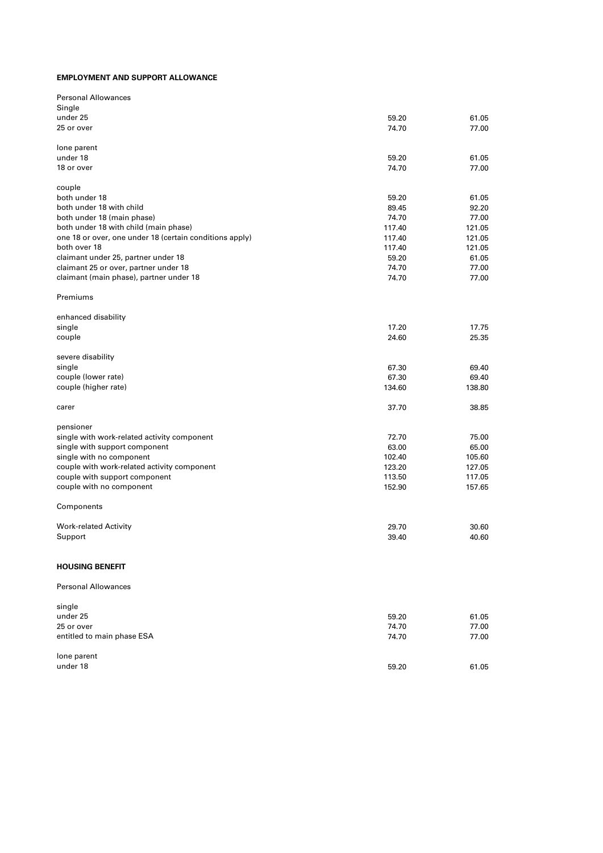#### **EMPLOYMENT AND SUPPORT ALLOWANCE**

| <b>Personal Allowances</b>                              |        |        |
|---------------------------------------------------------|--------|--------|
| Single                                                  |        |        |
| under 25                                                | 59.20  | 61.05  |
| 25 or over                                              | 74.70  | 77.00  |
|                                                         |        |        |
| lone parent                                             |        |        |
| under 18                                                | 59.20  | 61.05  |
| 18 or over                                              | 74.70  | 77.00  |
| couple                                                  |        |        |
| both under 18                                           | 59.20  | 61.05  |
| both under 18 with child                                | 89.45  | 92.20  |
| both under 18 (main phase)                              | 74.70  | 77.00  |
|                                                         |        |        |
| both under 18 with child (main phase)                   | 117.40 | 121.05 |
| one 18 or over, one under 18 (certain conditions apply) | 117.40 | 121.05 |
| both over 18                                            | 117.40 | 121.05 |
| claimant under 25, partner under 18                     | 59.20  | 61.05  |
| claimant 25 or over, partner under 18                   | 74.70  | 77.00  |
| claimant (main phase), partner under 18                 | 74.70  | 77.00  |
| Premiums                                                |        |        |
|                                                         |        |        |
| enhanced disability                                     |        |        |
| single                                                  | 17.20  | 17.75  |
| couple                                                  | 24.60  | 25.35  |
| severe disability                                       |        |        |
| single                                                  | 67.30  | 69.40  |
| couple (lower rate)                                     | 67.30  | 69.40  |
| couple (higher rate)                                    | 134.60 | 138.80 |
|                                                         |        |        |
| carer                                                   | 37.70  | 38.85  |
| pensioner                                               |        |        |
|                                                         |        |        |
| single with work-related activity component             | 72.70  | 75.00  |
| single with support component                           | 63.00  | 65.00  |
| single with no component                                | 102.40 | 105.60 |
| couple with work-related activity component             | 123.20 | 127.05 |
| couple with support component                           | 113.50 | 117.05 |
| couple with no component                                | 152.90 | 157.65 |
| Components                                              |        |        |
|                                                         | 29.70  |        |
| <b>Work-related Activity</b>                            |        | 30.60  |
| Support                                                 | 39.40  | 40.60  |
| <b>HOUSING BENEFIT</b>                                  |        |        |
| <b>Personal Allowances</b>                              |        |        |
|                                                         |        |        |
| single                                                  |        |        |
| under 25                                                | 59.20  | 61.05  |
| 25 or over                                              | 74.70  | 77.00  |
| entitled to main phase ESA                              | 74.70  | 77.00  |
| lone parent                                             |        |        |
| under 18                                                | 59.20  | 61.05  |
|                                                         |        |        |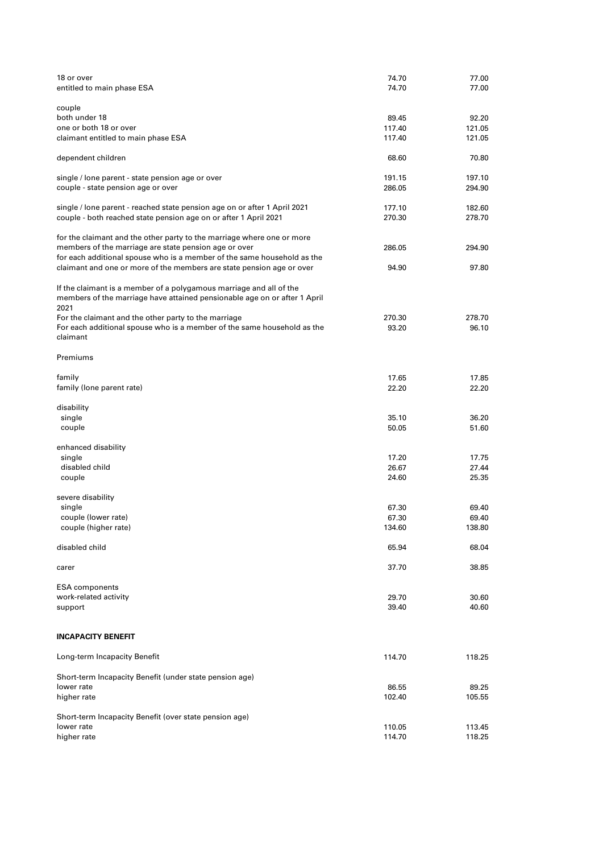| 18 or over<br>entitled to main phase ESA                                                                                                                                                                                                                                            | 74.70<br>74.70           | 77.00<br>77.00           |
|-------------------------------------------------------------------------------------------------------------------------------------------------------------------------------------------------------------------------------------------------------------------------------------|--------------------------|--------------------------|
| couple<br>both under 18<br>one or both 18 or over                                                                                                                                                                                                                                   | 89.45<br>117.40          | 92.20<br>121.05          |
| claimant entitled to main phase ESA                                                                                                                                                                                                                                                 | 117.40                   | 121.05                   |
| dependent children                                                                                                                                                                                                                                                                  | 68.60                    | 70.80                    |
| single / lone parent - state pension age or over<br>couple - state pension age or over                                                                                                                                                                                              | 191.15<br>286.05         | 197.10<br>294.90         |
| single / lone parent - reached state pension age on or after 1 April 2021<br>couple - both reached state pension age on or after 1 April 2021                                                                                                                                       | 177.10<br>270.30         | 182.60<br>278.70         |
| for the claimant and the other party to the marriage where one or more<br>members of the marriage are state pension age or over<br>for each additional spouse who is a member of the same household as the<br>claimant and one or more of the members are state pension age or over | 286.05<br>94.90          | 294.90<br>97.80          |
| If the claimant is a member of a polygamous marriage and all of the<br>members of the marriage have attained pensionable age on or after 1 April<br>2021                                                                                                                            |                          |                          |
| For the claimant and the other party to the marriage<br>For each additional spouse who is a member of the same household as the<br>claimant                                                                                                                                         | 270.30<br>93.20          | 278.70<br>96.10          |
| Premiums                                                                                                                                                                                                                                                                            |                          |                          |
| family<br>family (lone parent rate)                                                                                                                                                                                                                                                 | 17.65<br>22.20           | 17.85<br>22.20           |
| disability<br>single<br>couple                                                                                                                                                                                                                                                      | 35.10<br>50.05           | 36.20<br>51.60           |
| enhanced disability<br>single<br>disabled child<br>couple                                                                                                                                                                                                                           | 17.20<br>26.67<br>24.60  | 17.75<br>27.44<br>25.35  |
| severe disability<br>single<br>couple (lower rate)<br>couple (higher rate)                                                                                                                                                                                                          | 67.30<br>67.30<br>134.60 | 69.40<br>69.40<br>138.80 |
| disabled child                                                                                                                                                                                                                                                                      | 65.94                    | 68.04                    |
| carer                                                                                                                                                                                                                                                                               | 37.70                    | 38.85                    |
| <b>ESA</b> components<br>work-related activity<br>support                                                                                                                                                                                                                           | 29.70<br>39.40           | 30.60<br>40.60           |
| <b>INCAPACITY BENEFIT</b>                                                                                                                                                                                                                                                           |                          |                          |
| Long-term Incapacity Benefit                                                                                                                                                                                                                                                        | 114.70                   | 118.25                   |
| Short-term Incapacity Benefit (under state pension age)<br>lower rate<br>higher rate                                                                                                                                                                                                | 86.55<br>102.40          | 89.25<br>105.55          |
| Short-term Incapacity Benefit (over state pension age)<br>lower rate<br>higher rate                                                                                                                                                                                                 | 110.05<br>114.70         | 113.45<br>118.25         |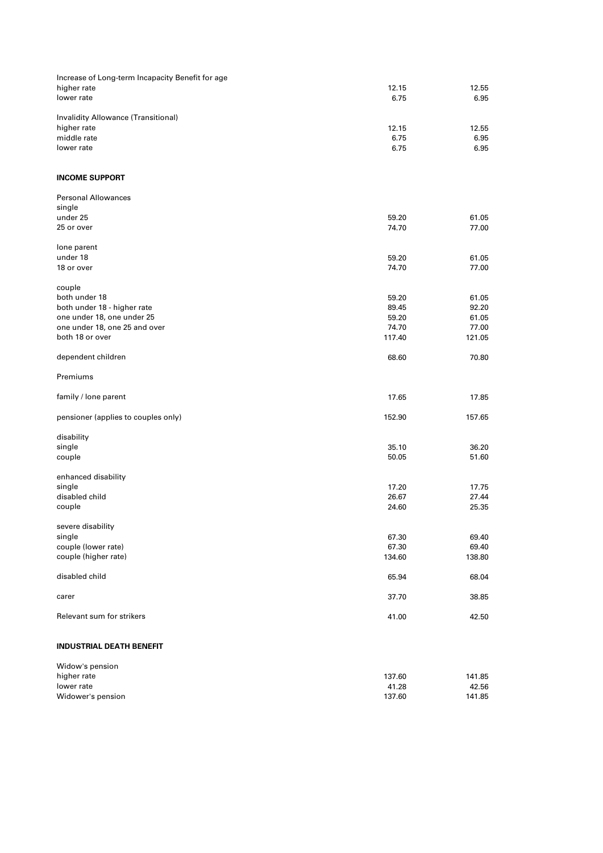| Increase of Long-term Incapacity Benefit for age |        |        |
|--------------------------------------------------|--------|--------|
| higher rate                                      | 12.15  | 12.55  |
|                                                  |        |        |
| lower rate                                       | 6.75   | 6.95   |
|                                                  |        |        |
| Invalidity Allowance (Transitional)              |        |        |
| higher rate                                      | 12.15  | 12.55  |
| middle rate                                      | 6.75   | 6.95   |
| lower rate                                       | 6.75   | 6.95   |
|                                                  |        |        |
|                                                  |        |        |
| <b>INCOME SUPPORT</b>                            |        |        |
|                                                  |        |        |
| <b>Personal Allowances</b>                       |        |        |
| single                                           |        |        |
| under 25                                         | 59.20  | 61.05  |
| 25 or over                                       | 74.70  | 77.00  |
|                                                  |        |        |
| lone parent                                      |        |        |
| under 18                                         | 59.20  | 61.05  |
| 18 or over                                       | 74.70  | 77.00  |
|                                                  |        |        |
|                                                  |        |        |
| couple                                           |        |        |
| both under 18                                    | 59.20  | 61.05  |
| both under 18 - higher rate                      | 89.45  | 92.20  |
| one under 18, one under 25                       | 59.20  | 61.05  |
| one under 18, one 25 and over                    | 74.70  | 77.00  |
| both 18 or over                                  | 117.40 | 121.05 |
|                                                  |        |        |
| dependent children                               | 68.60  | 70.80  |
|                                                  |        |        |
| Premiums                                         |        |        |
|                                                  |        |        |
| family / lone parent                             | 17.65  | 17.85  |
|                                                  |        |        |
|                                                  |        |        |
| pensioner (applies to couples only)              | 152.90 | 157.65 |
|                                                  |        |        |
| disability                                       |        |        |
| single                                           | 35.10  | 36.20  |
| couple                                           | 50.05  | 51.60  |
|                                                  |        |        |
| enhanced disability                              |        |        |
| single                                           | 17.20  | 17.75  |
| disabled child                                   | 26.67  | 27.44  |
| couple                                           | 24.60  | 25.35  |
|                                                  |        |        |
| severe disability                                |        |        |
|                                                  |        |        |
| single                                           | 67.30  | 69.40  |
| couple (lower rate)                              | 67.30  | 69.40  |
| couple (higher rate)                             | 134.60 | 138.80 |
|                                                  |        |        |
| disabled child                                   | 65.94  | 68.04  |
|                                                  |        |        |
| carer                                            | 37.70  | 38.85  |
|                                                  |        |        |
| Relevant sum for strikers                        | 41.00  | 42.50  |
|                                                  |        |        |
|                                                  |        |        |
| <b>INDUSTRIAL DEATH BENEFIT</b>                  |        |        |
|                                                  |        |        |
| Widow's pension                                  |        |        |
| higher rate                                      | 137.60 | 141.85 |
|                                                  |        |        |
| lower rate                                       | 41.28  | 42.56  |
| Widower's pension                                | 137.60 | 141.85 |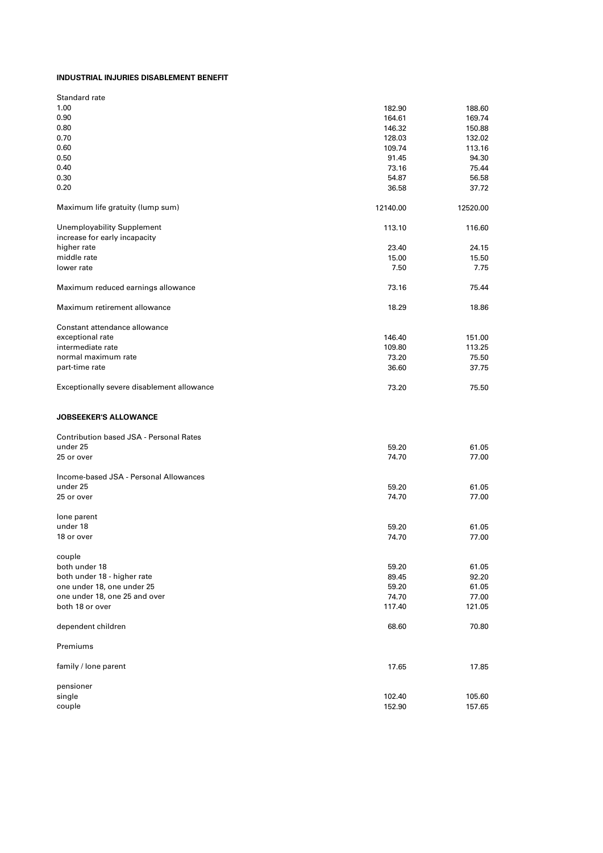## **INDUSTRIAL INJURIES DISABLEMENT BENEFIT**

| 1.00                                           | 182.90   | 188.60   |
|------------------------------------------------|----------|----------|
| 0.90                                           | 164.61   | 169.74   |
| 0.80                                           | 146.32   | 150.88   |
| 0.70                                           | 128.03   | 132.02   |
| 0.60                                           | 109.74   | 113.16   |
| 0.50                                           | 91.45    | 94.30    |
| 0.40                                           | 73.16    | 75.44    |
| 0.30                                           | 54.87    | 56.58    |
| 0.20                                           | 36.58    | 37.72    |
| Maximum life gratuity (lump sum)               | 12140.00 | 12520.00 |
| <b>Unemployability Supplement</b>              | 113.10   | 116.60   |
| increase for early incapacity                  |          |          |
| higher rate                                    | 23.40    | 24.15    |
| middle rate                                    | 15.00    | 15.50    |
| lower rate                                     | 7.50     | 7.75     |
|                                                |          |          |
| Maximum reduced earnings allowance             | 73.16    | 75.44    |
| Maximum retirement allowance                   | 18.29    | 18.86    |
| Constant attendance allowance                  |          |          |
| exceptional rate                               | 146.40   | 151.00   |
| intermediate rate                              | 109.80   | 113.25   |
| normal maximum rate                            | 73.20    | 75.50    |
| part-time rate                                 | 36.60    | 37.75    |
|                                                |          |          |
| Exceptionally severe disablement allowance     | 73.20    | 75.50    |
| <b>JOBSEEKER'S ALLOWANCE</b>                   |          |          |
| <b>Contribution based JSA - Personal Rates</b> |          |          |
| under 25                                       | 59.20    | 61.05    |
| 25 or over                                     |          |          |
|                                                | 74.70    | 77.00    |
|                                                |          |          |
| Income-based JSA - Personal Allowances         |          |          |
| under 25                                       | 59.20    | 61.05    |
| 25 or over                                     | 74.70    | 77.00    |
|                                                |          |          |
| lone parent<br>under 18                        | 59.20    | 61.05    |
| 18 or over                                     | 74.70    | 77.00    |
|                                                |          |          |
| couple                                         |          |          |
| both under 18                                  | 59.20    | 61.05    |
| both under 18 - higher rate                    | 89.45    | 92.20    |
| one under 18, one under 25                     | 59.20    | 61.05    |
| one under 18, one 25 and over                  | 74.70    | 77.00    |
| both 18 or over                                | 117.40   | 121.05   |
| dependent children                             | 68.60    | 70.80    |
| Premiums                                       |          |          |
| family / lone parent                           | 17.65    | 17.85    |
| pensioner                                      |          |          |
| single                                         | 102.40   | 105.60   |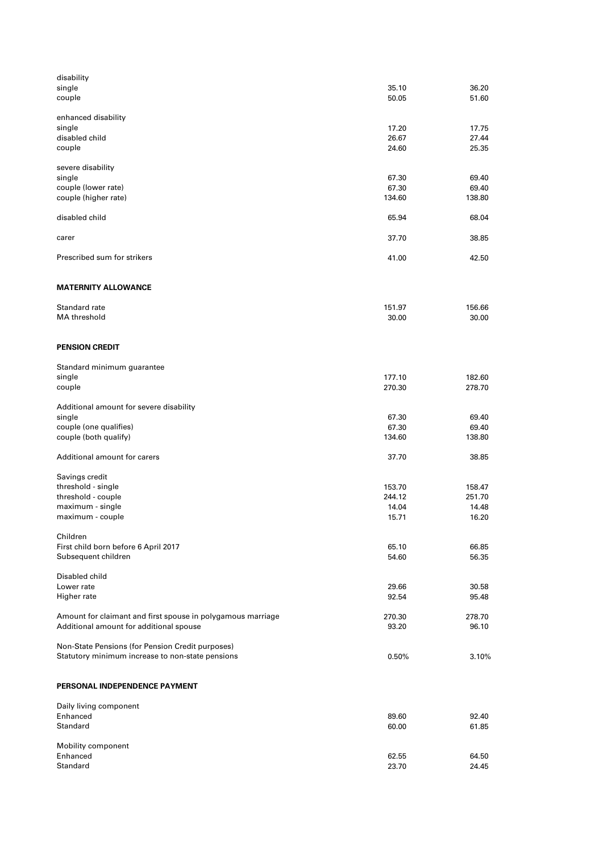| disability                                                  |                  |                  |
|-------------------------------------------------------------|------------------|------------------|
| single                                                      | 35.10            | 36.20            |
| couple                                                      | 50.05            | 51.60            |
| enhanced disability                                         |                  |                  |
| single                                                      | 17.20            | 17.75            |
| disabled child                                              | 26.67            | 27.44            |
| couple                                                      | 24.60            | 25.35            |
| severe disability                                           |                  |                  |
| single                                                      | 67.30            | 69.40            |
| couple (lower rate)                                         | 67.30            | 69.40            |
| couple (higher rate)                                        | 134.60           | 138.80           |
| disabled child                                              | 65.94            | 68.04            |
| carer                                                       | 37.70            | 38.85            |
| Prescribed sum for strikers                                 | 41.00            | 42.50            |
|                                                             |                  |                  |
| <b>MATERNITY ALLOWANCE</b>                                  |                  |                  |
| Standard rate                                               | 151.97           | 156.66           |
| MA threshold                                                | 30.00            | 30.00            |
| <b>PENSION CREDIT</b>                                       |                  |                  |
|                                                             |                  |                  |
| Standard minimum guarantee                                  |                  |                  |
| single<br>couple                                            | 177.10<br>270.30 | 182.60<br>278.70 |
| Additional amount for severe disability                     |                  |                  |
| single                                                      | 67.30            | 69.40            |
| couple (one qualifies)                                      | 67.30            | 69.40            |
| couple (both qualify)                                       | 134.60           | 138.80           |
| Additional amount for carers                                | 37.70            | 38.85            |
| Savings credit                                              |                  |                  |
| threshold - single                                          | 153.70           | 158.47           |
| threshold - couple                                          | 244.12           | 251.70           |
| maximum - single                                            | 14.04            | 14.48            |
| maximum - couple                                            | 15.71            | 16.20            |
| Children                                                    |                  |                  |
| First child born before 6 April 2017                        | 65.10            | 66.85            |
| Subsequent children                                         | 54.60            | 56.35            |
| Disabled child                                              |                  |                  |
| Lower rate                                                  | 29.66            | 30.58            |
| Higher rate                                                 | 92.54            | 95.48            |
| Amount for claimant and first spouse in polygamous marriage | 270.30           | 278.70           |
| Additional amount for additional spouse                     | 93.20            | 96.10            |
| Non-State Pensions (for Pension Credit purposes)            |                  |                  |
| Statutory minimum increase to non-state pensions            | 0.50%            | 3.10%            |
| PERSONAL INDEPENDENCE PAYMENT                               |                  |                  |
| Daily living component                                      |                  |                  |
| Enhanced                                                    | 89.60            | 92.40            |
| Standard                                                    | 60.00            | 61.85            |
|                                                             |                  |                  |
| Mobility component<br>Enhanced                              | 62.55            | 64.50            |
| Standard                                                    | 23.70            | 24.45            |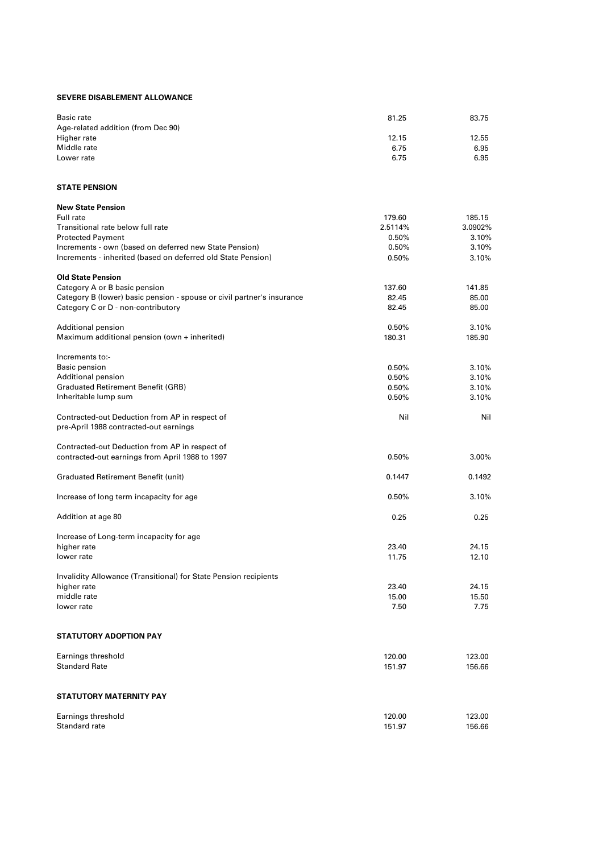## **SEVERE DISABLEMENT ALLOWANCE**

| Basic rate                         | 81.25 | 83.75 |
|------------------------------------|-------|-------|
| Age-related addition (from Dec 90) |       |       |
| Higher rate                        | 12.15 | 12.55 |
| Middle rate                        | 6.75  | 6.95  |
| Lower rate                         | 6.75  | 6.95  |

#### **STATE PENSION**

| <b>New State Pension</b>                                               |         |         |
|------------------------------------------------------------------------|---------|---------|
| Full rate                                                              | 179.60  | 185.15  |
| Transitional rate below full rate                                      | 2.5114% | 3.0902% |
| <b>Protected Payment</b>                                               | 0.50%   | 3.10%   |
| Increments - own (based on deferred new State Pension)                 | 0.50%   | 3.10%   |
| Increments - inherited (based on deferred old State Pension)           | 0.50%   | 3.10%   |
| <b>Old State Pension</b>                                               |         |         |
| Category A or B basic pension                                          | 137.60  | 141.85  |
| Category B (lower) basic pension - spouse or civil partner's insurance | 82.45   | 85.00   |
| Category C or D - non-contributory                                     | 82.45   | 85.00   |
| Additional pension                                                     | 0.50%   | 3.10%   |
| Maximum additional pension (own + inherited)                           | 180.31  | 185.90  |
| Increments to:-                                                        |         |         |
| Basic pension                                                          | 0.50%   | 3.10%   |
| Additional pension                                                     | 0.50%   | 3.10%   |
| <b>Graduated Retirement Benefit (GRB)</b>                              | 0.50%   | 3.10%   |
| Inheritable lump sum                                                   | 0.50%   | 3.10%   |
| Contracted-out Deduction from AP in respect of                         | Nil     | Nil     |
| pre-April 1988 contracted-out earnings                                 |         |         |
| Contracted-out Deduction from AP in respect of                         |         |         |
| contracted-out earnings from April 1988 to 1997                        | 0.50%   | 3.00%   |
| <b>Graduated Retirement Benefit (unit)</b>                             | 0.1447  | 0.1492  |
| Increase of long term incapacity for age                               | 0.50%   | 3.10%   |
| Addition at age 80                                                     | 0.25    | 0.25    |
| Increase of Long-term incapacity for age                               |         |         |
| higher rate                                                            | 23.40   | 24.15   |
| lower rate                                                             | 11.75   | 12.10   |
| Invalidity Allowance (Transitional) for State Pension recipients       |         |         |
| higher rate                                                            | 23.40   | 24.15   |
| middle rate                                                            | 15.00   | 15.50   |
| lower rate                                                             | 7.50    | 7.75    |
| <b>STATUTORY ADOPTION PAY</b>                                          |         |         |
| Earnings threshold                                                     | 120.00  | 123.00  |
| <b>Standard Rate</b>                                                   | 151.97  | 156.66  |
| <b>STATUTORY MATERNITY PAY</b>                                         |         |         |
| Earnings threshold                                                     | 120.00  | 123.00  |
| Standard rate                                                          | 151.97  | 156.66  |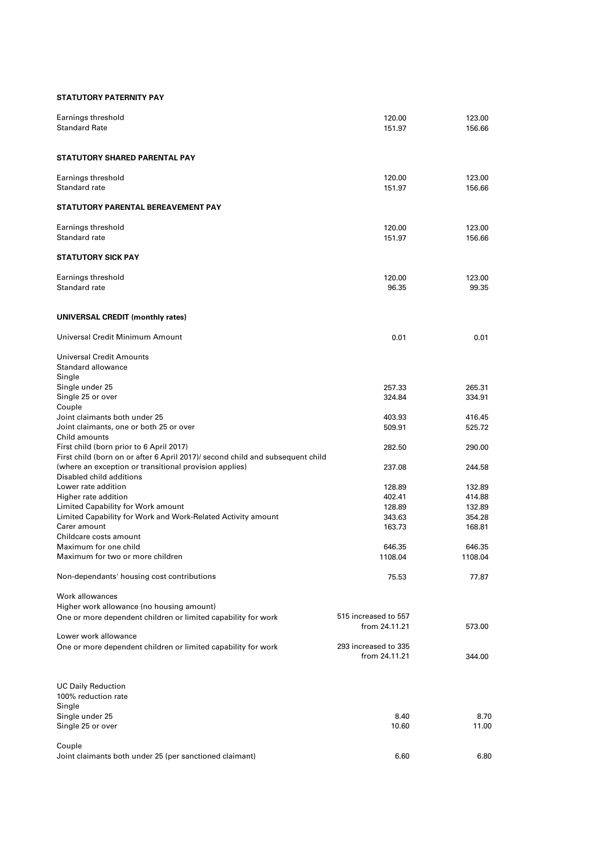## **STATUTORY PATERNITY PAY**

| Earnings threshold<br><b>Standard Rate</b>                                                                                                                           | 120.00<br>151.97                      | 123.00<br>156.66 |
|----------------------------------------------------------------------------------------------------------------------------------------------------------------------|---------------------------------------|------------------|
| STATUTORY SHARED PARENTAL PAY                                                                                                                                        |                                       |                  |
| Earnings threshold<br>Standard rate                                                                                                                                  | 120.00<br>151.97                      | 123.00<br>156.66 |
| STATUTORY PARENTAL BEREAVEMENT PAY                                                                                                                                   |                                       |                  |
| Earnings threshold                                                                                                                                                   | 120.00                                | 123.00           |
| Standard rate                                                                                                                                                        | 151.97                                | 156.66           |
| <b>STATUTORY SICK PAY</b>                                                                                                                                            |                                       |                  |
| Earnings threshold                                                                                                                                                   | 120.00                                | 123.00           |
| Standard rate                                                                                                                                                        | 96.35                                 | 99.35            |
| UNIVERSAL CREDIT (monthly rates)                                                                                                                                     |                                       |                  |
| Universal Credit Minimum Amount                                                                                                                                      | 0.01                                  | 0.01             |
| Universal Credit Amounts<br>Standard allowance<br>Single                                                                                                             |                                       |                  |
| Single under 25                                                                                                                                                      | 257.33                                | 265.31           |
| Single 25 or over<br>Couple                                                                                                                                          | 324.84                                | 334.91           |
| Joint claimants both under 25                                                                                                                                        | 403.93                                | 416.45           |
| Joint claimants, one or both 25 or over<br>Child amounts                                                                                                             | 509.91                                | 525.72           |
| First child (born prior to 6 April 2017)                                                                                                                             | 282.50                                | 290.00           |
| First child (born on or after 6 April 2017)/ second child and subsequent child<br>(where an exception or transitional provision applies)<br>Disabled child additions | 237.08                                | 244.58           |
| Lower rate addition                                                                                                                                                  | 128.89                                | 132.89           |
| Higher rate addition                                                                                                                                                 | 402.41                                | 414.88           |
| Limited Capability for Work amount                                                                                                                                   | 128.89                                | 132.89           |
| Limited Capability for Work and Work-Related Activity amount                                                                                                         | 343.63                                | 354.28           |
| Carer amount                                                                                                                                                         | 163.73                                | 168.81           |
| Childcare costs amount<br>Maximum for one child                                                                                                                      | 646.35                                | 646.35           |
| Maximum for two or more children                                                                                                                                     | 1108.04                               | 1108.04          |
| Non-dependants' housing cost contributions                                                                                                                           | 75.53                                 | 77.87            |
| Work allowances                                                                                                                                                      |                                       |                  |
| Higher work allowance (no housing amount)                                                                                                                            |                                       |                  |
| One or more dependent children or limited capability for work                                                                                                        | 515 increased to 557<br>from 24.11.21 | 573.00           |
| Lower work allowance                                                                                                                                                 |                                       |                  |
| One or more dependent children or limited capability for work                                                                                                        | 293 increased to 335<br>from 24.11.21 | 344.00           |
| <b>UC Daily Reduction</b><br>100% reduction rate                                                                                                                     |                                       |                  |
| Single                                                                                                                                                               |                                       |                  |
| Single under 25<br>Single 25 or over                                                                                                                                 | 8.40<br>10.60                         | 8.70<br>11.00    |
| Couple<br>Joint claimants both under 25 (per sanctioned claimant)                                                                                                    | 6.60                                  | 6.80             |
|                                                                                                                                                                      |                                       |                  |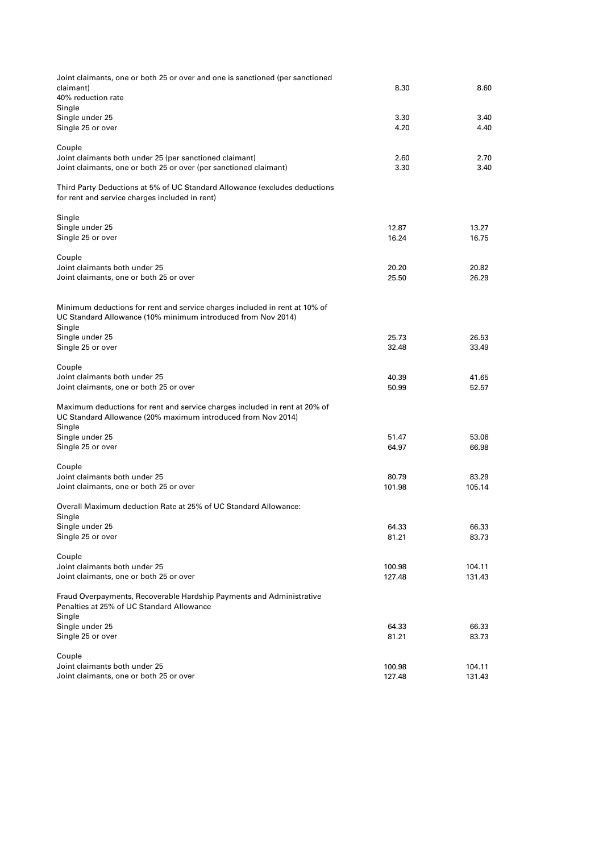| Joint claimants, one or both 25 or over and one is sanctioned (per sanctioned                                                              |                 |                 |
|--------------------------------------------------------------------------------------------------------------------------------------------|-----------------|-----------------|
| claimant)<br>40% reduction rate                                                                                                            | 8.30            | 8.60            |
| Single                                                                                                                                     |                 |                 |
| Single under 25                                                                                                                            | 3.30            | 3.40            |
| Single 25 or over                                                                                                                          | 4.20            | 4.40            |
| Couple                                                                                                                                     |                 |                 |
| Joint claimants both under 25 (per sanctioned claimant)                                                                                    | 2.60            | 2.70            |
| Joint claimants, one or both 25 or over (per sanctioned claimant)                                                                          | 3.30            | 3.40            |
| Third Party Deductions at 5% of UC Standard Allowance (excludes deductions<br>for rent and service charges included in rent)               |                 |                 |
| Single                                                                                                                                     |                 |                 |
| Single under 25                                                                                                                            | 12.87           | 13.27           |
| Single 25 or over                                                                                                                          | 16.24           | 16.75           |
| Couple                                                                                                                                     |                 |                 |
| Joint claimants both under 25                                                                                                              | 20.20           | 20.82           |
| Joint claimants, one or both 25 or over                                                                                                    | 25.50           | 26.29           |
| Minimum deductions for rent and service charges included in rent at 10% of                                                                 |                 |                 |
| UC Standard Allowance (10% minimum introduced from Nov 2014)<br>Single                                                                     |                 |                 |
| Single under 25                                                                                                                            | 25.73           | 26.53           |
| Single 25 or over                                                                                                                          | 32.48           | 33.49           |
| Couple                                                                                                                                     |                 |                 |
| Joint claimants both under 25                                                                                                              | 40.39           | 41.65           |
| Joint claimants, one or both 25 or over                                                                                                    | 50.99           | 52.57           |
| Maximum deductions for rent and service charges included in rent at 20% of<br>UC Standard Allowance (20% maximum introduced from Nov 2014) |                 |                 |
| Single                                                                                                                                     |                 |                 |
| Single under 25                                                                                                                            | 51.47           | 53.06           |
| Single 25 or over                                                                                                                          | 64.97           | 66.98           |
| Couple                                                                                                                                     |                 |                 |
| Joint claimants both under 25<br>Joint claimants, one or both 25 or over                                                                   | 80.79<br>101.98 | 83.29<br>105.14 |
|                                                                                                                                            |                 |                 |
| Overall Maximum deduction Rate at 25% of UC Standard Allowance:                                                                            |                 |                 |
| Single<br>Single under 25                                                                                                                  | 64.33           | 66.33           |
| Single 25 or over                                                                                                                          | 81.21           | 83.73           |
| Couple                                                                                                                                     |                 |                 |
| Joint claimants both under 25                                                                                                              | 100.98          | 104.11          |
| Joint claimants, one or both 25 or over                                                                                                    | 127.48          | 131.43          |
| Fraud Overpayments, Recoverable Hardship Payments and Administrative<br>Penalties at 25% of UC Standard Allowance                          |                 |                 |
| Single<br>Single under 25                                                                                                                  |                 |                 |
| Single 25 or over                                                                                                                          | 64.33<br>81.21  | 66.33<br>83.73  |
| Couple                                                                                                                                     |                 |                 |
| Joint claimants both under 25                                                                                                              | 100.98          | 104.11          |
| Joint claimants, one or both 25 or over                                                                                                    | 127.48          | 131.43          |